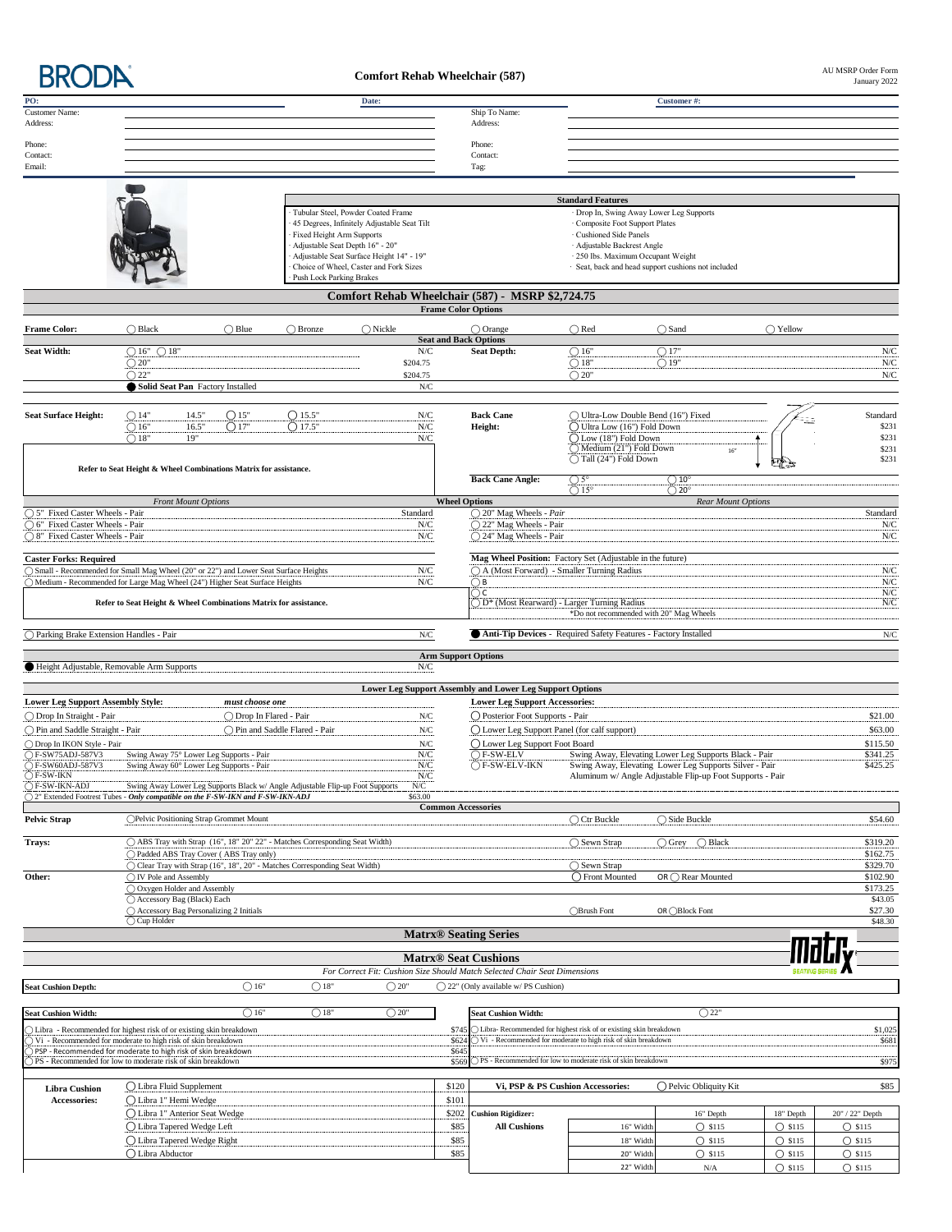**BRODA** 

## **Comfort Rehab Wheelchair (587)**

AU MSRP Order Form<br>January 2022

| PO:<br><b>Customer Name:</b>                                                                                                                                          |                                                                  |                                                              |                         |                                                                               | Date:                                       |                           | Ship To Name:                                                             |                                                                  | Customer#:                                                                                                          |                                      |                                      |
|-----------------------------------------------------------------------------------------------------------------------------------------------------------------------|------------------------------------------------------------------|--------------------------------------------------------------|-------------------------|-------------------------------------------------------------------------------|---------------------------------------------|---------------------------|---------------------------------------------------------------------------|------------------------------------------------------------------|---------------------------------------------------------------------------------------------------------------------|--------------------------------------|--------------------------------------|
| Address:                                                                                                                                                              |                                                                  |                                                              |                         |                                                                               |                                             |                           | Address:                                                                  |                                                                  |                                                                                                                     |                                      |                                      |
| Phone:                                                                                                                                                                |                                                                  |                                                              |                         |                                                                               |                                             |                           | Phone:                                                                    |                                                                  |                                                                                                                     |                                      |                                      |
| Contact:                                                                                                                                                              |                                                                  |                                                              |                         |                                                                               |                                             |                           | Contact:                                                                  |                                                                  |                                                                                                                     |                                      |                                      |
| Email:                                                                                                                                                                |                                                                  |                                                              |                         |                                                                               |                                             |                           | Tag:                                                                      |                                                                  |                                                                                                                     |                                      |                                      |
|                                                                                                                                                                       |                                                                  |                                                              |                         |                                                                               |                                             |                           |                                                                           |                                                                  |                                                                                                                     |                                      |                                      |
|                                                                                                                                                                       |                                                                  |                                                              |                         |                                                                               |                                             |                           |                                                                           | <b>Standard Features</b>                                         |                                                                                                                     |                                      |                                      |
|                                                                                                                                                                       |                                                                  |                                                              |                         |                                                                               | Tubular Steel, Powder Coated Frame          |                           |                                                                           | · Drop In, Swing Away Lower Leg Supports                         |                                                                                                                     |                                      |                                      |
|                                                                                                                                                                       |                                                                  |                                                              |                         | Fixed Height Arm Supports                                                     | 45 Degrees, Infinitely Adjustable Seat Tilt |                           |                                                                           | · Composite Foot Support Plates<br>· Cushioned Side Panels       |                                                                                                                     |                                      |                                      |
|                                                                                                                                                                       |                                                                  |                                                              |                         |                                                                               | Adjustable Seat Depth 16" - 20"             |                           |                                                                           | · Adjustable Backrest Angle                                      |                                                                                                                     |                                      |                                      |
|                                                                                                                                                                       |                                                                  |                                                              |                         |                                                                               | Adjustable Seat Surface Height 14" - 19"    |                           |                                                                           | · 250 lbs. Maximum Occupant Weight                               |                                                                                                                     |                                      |                                      |
|                                                                                                                                                                       |                                                                  |                                                              |                         | <b>Push Lock Parking Brakes</b>                                               | Choice of Wheel, Caster and Fork Sizes      |                           |                                                                           |                                                                  | · Seat, back and head support cushions not included                                                                 |                                      |                                      |
|                                                                                                                                                                       |                                                                  |                                                              |                         |                                                                               |                                             |                           | Comfort Rehab Wheelchair (587) - MSRP \$2,724.75                          |                                                                  |                                                                                                                     |                                      |                                      |
|                                                                                                                                                                       |                                                                  |                                                              |                         |                                                                               |                                             |                           | <b>Frame Color Options</b>                                                |                                                                  |                                                                                                                     |                                      |                                      |
|                                                                                                                                                                       |                                                                  |                                                              |                         |                                                                               |                                             |                           |                                                                           |                                                                  |                                                                                                                     |                                      |                                      |
| <b>Frame Color:</b>                                                                                                                                                   | $\bigcap$ Black                                                  |                                                              | $\bigcap$ Blue          | $\bigcirc$ Bronze                                                             | $\bigcirc$ Nickle                           |                           | $\bigcirc$ Orange<br><b>Seat and Back Options</b>                         | $\bigcap$ Red                                                    | $\bigcap$ Sand                                                                                                      | $\bigcirc$ Yellow                    |                                      |
| <b>Seat Width:</b>                                                                                                                                                    | $\bigcirc$ 16" $\bigcirc$ 18"                                    |                                                              |                         |                                                                               | ${\rm N/C}$                                 |                           | <b>Seat Depth:</b>                                                        | $\bigcirc$ 16"                                                   | $\bigcirc$ 17"                                                                                                      |                                      | N/C                                  |
|                                                                                                                                                                       | $\bigcirc$ 20"                                                   |                                                              |                         |                                                                               | \$204.75                                    |                           |                                                                           | $\bigcirc$ 18"                                                   | $\bigcirc$ 19"                                                                                                      |                                      | ${\rm N/C}$                          |
|                                                                                                                                                                       | $\bigcirc$ 22"                                                   | Solid Seat Pan Factory Installed                             |                         |                                                                               | \$204.75<br>${\rm N/C}$                     |                           |                                                                           | $\bigcirc$ 20"                                                   |                                                                                                                     |                                      | ${\rm N/C}$                          |
|                                                                                                                                                                       |                                                                  |                                                              |                         |                                                                               |                                             |                           |                                                                           |                                                                  |                                                                                                                     |                                      |                                      |
| <b>Seat Surface Height:</b>                                                                                                                                           | $\bigcirc$ 14"                                                   | 14.5"                                                        | $\bigcirc$ 15"          | ()15.5"                                                                       | ${\rm N/C}$                                 |                           | <b>Back Cane</b>                                                          | ◯ Ultra-Low Double Bend (16") Fixed                              |                                                                                                                     |                                      | Standard                             |
|                                                                                                                                                                       | $\bigcirc$ 16"                                                   | 16.5"                                                        | $\bigcirc$ 17"          | O17.5"                                                                        | ${\rm N/C}$                                 |                           | Height:                                                                   | $\bigcirc$ Ultra Low (16") Fold Down                             |                                                                                                                     |                                      | \$231                                |
|                                                                                                                                                                       | $\bigcirc$ 18"                                                   | 19"                                                          |                         |                                                                               | N/C                                         |                           |                                                                           | ◯ Low (18") Fold Down<br>Medium (21") Fold Down                  |                                                                                                                     |                                      | \$231                                |
|                                                                                                                                                                       |                                                                  |                                                              |                         |                                                                               |                                             |                           |                                                                           | Tall (24") Fold Down                                             | 16''                                                                                                                |                                      | \$231<br>\$231                       |
|                                                                                                                                                                       | Refer to Seat Height & Wheel Combinations Matrix for assistance. |                                                              |                         |                                                                               |                                             |                           |                                                                           |                                                                  |                                                                                                                     |                                      |                                      |
|                                                                                                                                                                       |                                                                  |                                                              |                         |                                                                               |                                             |                           | <b>Back Cane Angle:</b>                                                   | $\frac{\bigcirc}{\bigcirc} \frac{5^{\circ}}{15^{\circ}}$         | $\bigcirc$ 10°<br>$\bigcirc$ 20°                                                                                    |                                      |                                      |
|                                                                                                                                                                       |                                                                  | <b>Front Mount Options</b>                                   |                         |                                                                               |                                             | <b>Wheel Options</b>      |                                                                           |                                                                  | Rear Mount Options                                                                                                  |                                      |                                      |
| ○ 5" Fixed Caster Wheels - Pair                                                                                                                                       |                                                                  |                                                              |                         |                                                                               | Standard                                    |                           | ○ 20" Mag Wheels - Pair                                                   |                                                                  |                                                                                                                     |                                      | Standard                             |
| ○ 6" Fixed Caster Wheels - Pair<br>○ 8" Fixed Caster Wheels - Pair                                                                                                    |                                                                  |                                                              |                         |                                                                               | N/C<br>${\rm N/C}$                          |                           | ○ 22" Mag Wheels - Pair<br>○ 24" Mag Wheels - Pair                        |                                                                  |                                                                                                                     |                                      | N/C<br>N/C                           |
|                                                                                                                                                                       |                                                                  |                                                              |                         |                                                                               |                                             |                           |                                                                           |                                                                  |                                                                                                                     |                                      |                                      |
| <b>Caster Forks: Required</b>                                                                                                                                         |                                                                  |                                                              |                         |                                                                               |                                             |                           | Mag Wheel Position: Factory Set (Adjustable in the future)                |                                                                  |                                                                                                                     |                                      |                                      |
| ○ Small - Recommended for Small Mag Wheel (20" or 22") and Lower Seat Surface Heights<br>○ Medium - Recommended for Large Mag Wheel (24") Higher Seat Surface Heights |                                                                  |                                                              |                         |                                                                               | ${\rm N/C}$<br>N/C                          |                           | ○ A (Most Forward) - Smaller Turning Radius<br>$\bigcirc$ B               |                                                                  |                                                                                                                     |                                      | N/C<br>${\rm N/C}$                   |
|                                                                                                                                                                       |                                                                  |                                                              |                         |                                                                               |                                             |                           | $\bigcirc$ c                                                              |                                                                  |                                                                                                                     |                                      | ${\rm N/C}$                          |
|                                                                                                                                                                       |                                                                  |                                                              |                         | Refer to Seat Height & Wheel Combinations Matrix for assistance.              |                                             |                           | D <sup>*</sup> (Most Rearward) - Larger Turning Radius                    |                                                                  |                                                                                                                     |                                      | ${\rm N/C}$                          |
|                                                                                                                                                                       |                                                                  |                                                              |                         |                                                                               |                                             |                           |                                                                           | *Do not recommended with 20" Mag Wheels                          |                                                                                                                     |                                      |                                      |
| ◯ Parking Brake Extension Handles - Pair                                                                                                                              |                                                                  |                                                              |                         |                                                                               | ${\rm N/C}$                                 |                           | Anti-Tip Devices - Required Safety Features - Factory Installed           |                                                                  |                                                                                                                     |                                      | ${\rm N/C}$                          |
|                                                                                                                                                                       |                                                                  |                                                              |                         |                                                                               |                                             |                           | <b>Arm Support Options</b>                                                |                                                                  |                                                                                                                     |                                      |                                      |
| Height Adjustable, Removable Arm Supports                                                                                                                             |                                                                  |                                                              |                         |                                                                               | N/C                                         |                           |                                                                           |                                                                  |                                                                                                                     |                                      |                                      |
|                                                                                                                                                                       |                                                                  |                                                              |                         |                                                                               |                                             |                           | Lower Leg Support Assembly and Lower Leg Support Options                  |                                                                  |                                                                                                                     |                                      |                                      |
| <b>Lower Leg Support Assembly Style:</b>                                                                                                                              |                                                                  |                                                              | must choose one         |                                                                               |                                             |                           | <b>Lower Leg Support Accessories:</b>                                     |                                                                  |                                                                                                                     |                                      |                                      |
| ◯ Drop In Straight - Pair                                                                                                                                             |                                                                  |                                                              | ◯ Drop In Flared - Pair |                                                                               | ${\rm N/C}$                                 |                           | O Posterior Foot Supports - Pair                                          |                                                                  |                                                                                                                     |                                      | \$21.00                              |
| O Pin and Saddle Straight - Pair                                                                                                                                      |                                                                  |                                                              |                         | ◯ Pin and Saddle Flared - Pair                                                | ${\rm N/C}$                                 |                           | O Lower Leg Support Panel (for calf support)                              |                                                                  |                                                                                                                     |                                      | \$63.00                              |
| ◯ Drop In IKON Style - Pair                                                                                                                                           |                                                                  |                                                              |                         |                                                                               | N/C                                         |                           | ◯ Lower Leg Support Foot Board                                            |                                                                  |                                                                                                                     |                                      | \$115.50                             |
| ◯ F-SW75ADJ-587V3                                                                                                                                                     |                                                                  | Swing Away 75° Lower Leg Supports - Pair                     |                         |                                                                               | ${\rm N/C}$<br>${\rm N/C}$                  |                           | $\bigcirc$ F-SW-ELV<br>$\bigcap$ F-SW-ELV-IKN                             |                                                                  | Swing Away, Elevating Lower Leg Supports Black - Pair                                                               |                                      | \$341.25                             |
| ○ F-SW60ADJ-587V3 Swing Away 60° Lower Leg Supports - Pair<br>$\bigcirc$ F-SW-IKN                                                                                     |                                                                  |                                                              |                         |                                                                               | ${\rm N/C}$                                 |                           |                                                                           |                                                                  | Swing Away, Elevating Lower Leg Supports Silver - Pair<br>Aluminum w/ Angle Adjustable Flip-up Foot Supports - Pair |                                      | \$425.25                             |
| ◯ F-SW-IKN-ADJ                                                                                                                                                        |                                                                  |                                                              |                         | Swing Away Lower Leg Supports Black w/ Angle Adjustable Flip-up Foot Supports | N/C                                         |                           |                                                                           |                                                                  |                                                                                                                     |                                      |                                      |
| ○ 2" Extended Footrest Tubes - Only compatible on the F-SW-IKN and F-SW-IKN-ADJ                                                                                       |                                                                  |                                                              |                         |                                                                               | \$63.00                                     | <b>Common Accessories</b> |                                                                           |                                                                  |                                                                                                                     |                                      |                                      |
| <b>Pelvic Strap</b>                                                                                                                                                   |                                                                  | ◯Pelvic Positioning Strap Grommet Mount                      |                         |                                                                               |                                             |                           |                                                                           | Ctr Buckle                                                       | ◯ Side Buckle                                                                                                       |                                      | \$54.60                              |
|                                                                                                                                                                       |                                                                  |                                                              |                         |                                                                               |                                             |                           |                                                                           |                                                                  |                                                                                                                     |                                      |                                      |
| Trays:                                                                                                                                                                |                                                                  | ◯ Padded ABS Tray Cover (ABS Tray only)                      |                         | ○ ABS Tray with Strap (16", 18" 20" 22" - Matches Corresponding Seat Width)   |                                             |                           |                                                                           | ◯ Sewn Strap                                                     | $\bigcirc$ Grey<br>$\bigcirc$ Black                                                                                 |                                      | \$319.20<br>\$162.75                 |
|                                                                                                                                                                       |                                                                  |                                                              |                         | Clear Tray with Strap (16", 18", 20" - Matches Corresponding Seat Width)      |                                             |                           |                                                                           | $\bigcirc$ Sewn Strap                                            |                                                                                                                     |                                      | \$329.70                             |
| Other:                                                                                                                                                                | ◯ IV Pole and Assembly                                           |                                                              |                         |                                                                               |                                             |                           |                                                                           | ◯ Front Mounted                                                  | $OR \bigcap$ Rear Mounted                                                                                           |                                      | \$102.90                             |
|                                                                                                                                                                       |                                                                  | ○ Oxygen Holder and Assembly<br>○ Accessory Bag (Black) Each |                         |                                                                               |                                             |                           |                                                                           |                                                                  |                                                                                                                     |                                      | \$173.25<br>\$43.05                  |
|                                                                                                                                                                       |                                                                  | ○ Accessory Bag Personalizing 2 Initials                     |                         |                                                                               |                                             |                           |                                                                           | <b>Brush Font</b>                                                | OR ◯Block Font                                                                                                      |                                      | \$27.30                              |
|                                                                                                                                                                       | ○ Cup Holder                                                     |                                                              |                         |                                                                               |                                             |                           |                                                                           |                                                                  |                                                                                                                     |                                      | \$48.30                              |
|                                                                                                                                                                       |                                                                  |                                                              |                         |                                                                               |                                             |                           | <b>Matrx<sup>®</sup></b> Seating Series                                   |                                                                  |                                                                                                                     |                                      |                                      |
|                                                                                                                                                                       |                                                                  |                                                              |                         |                                                                               |                                             |                           | <b>Matrx® Seat Cushions</b>                                               |                                                                  |                                                                                                                     |                                      |                                      |
|                                                                                                                                                                       |                                                                  |                                                              |                         |                                                                               |                                             |                           | For Correct Fit: Cushion Size Should Match Selected Chair Seat Dimensions |                                                                  |                                                                                                                     |                                      |                                      |
| <b>Seat Cushion Depth:</b>                                                                                                                                            |                                                                  |                                                              | $\bigcirc$ 16"          | $\bigcirc$ 18"                                                                | $\bigcirc$ 20"                              |                           | $\bigcirc$ 22" (Only available w/PS Cushion)                              |                                                                  |                                                                                                                     |                                      |                                      |
|                                                                                                                                                                       |                                                                  |                                                              |                         |                                                                               |                                             |                           |                                                                           |                                                                  |                                                                                                                     |                                      |                                      |
| <b>Seat Cushion Width:</b>                                                                                                                                            |                                                                  |                                                              | $\bigcirc$ 16"          | $\bigcirc$ 18"                                                                | $\bigcirc$ 20"                              |                           | <b>Seat Cushion Width:</b>                                                |                                                                  | $\bigcirc$ 22"                                                                                                      |                                      |                                      |
| Libra - Recommended for highest risk of or existing skin breakdown                                                                                                    |                                                                  |                                                              |                         |                                                                               |                                             | \$745                     |                                                                           | Libra-Recommended for highest risk of or existing skin breakdown |                                                                                                                     |                                      | \$1,025                              |
| Vi - Recommended for moderate to high risk of skin breakdown                                                                                                          |                                                                  |                                                              |                         |                                                                               |                                             | \$624                     |                                                                           | Vi - Recommended for moderate to high risk of skin breakdown     |                                                                                                                     |                                      | \$681                                |
| PSP - Recommended for moderate to high risk of skin breakdown<br>> PS - Recommended for low to moderate risk of skin breakdown                                        |                                                                  |                                                              |                         |                                                                               |                                             | \$645<br>\$569            |                                                                           | ◯ PS - Recommended for low to moderate risk of skin breakdown    |                                                                                                                     |                                      | \$975                                |
|                                                                                                                                                                       |                                                                  |                                                              |                         |                                                                               |                                             |                           |                                                                           |                                                                  |                                                                                                                     |                                      |                                      |
| <b>Libra Cushion</b>                                                                                                                                                  |                                                                  | ◯ Libra Fluid Supplement                                     |                         |                                                                               |                                             | \$120                     | Vi, PSP & PS Cushion Accessories:                                         |                                                                  | ◯ Pelvic Obliquity Kit                                                                                              |                                      | \$85                                 |
| Accessories:                                                                                                                                                          |                                                                  | ◯ Libra 1" Hemi Wedge                                        |                         |                                                                               |                                             | \$101                     |                                                                           |                                                                  |                                                                                                                     |                                      |                                      |
|                                                                                                                                                                       |                                                                  | ◯ Libra 1" Anterior Seat Wedge                               |                         |                                                                               |                                             | \$202                     | <b>Cushion Rigidizer:</b>                                                 |                                                                  | 16" Depth                                                                                                           | 18" Depth                            | 20" / 22" Depth                      |
|                                                                                                                                                                       |                                                                  | ◯ Libra Tapered Wedge Left                                   |                         |                                                                               |                                             | \$85                      | <b>All Cushions</b>                                                       | 16" Width                                                        | $O$ \$115                                                                                                           | $O$ \$115                            | $\bigcirc$ \$115                     |
|                                                                                                                                                                       | ◯ Libra Abductor                                                 | ◯ Libra Tapered Wedge Right                                  |                         |                                                                               |                                             | \$85<br>\$85              |                                                                           | 18" Width<br>20" Width                                           | $O$ \$115<br>$O$ \$115                                                                                              | $\bigcirc$ \$115<br>$\bigcirc$ \$115 | $\bigcirc$ \$115<br>$\bigcirc$ \$115 |
|                                                                                                                                                                       |                                                                  |                                                              |                         |                                                                               |                                             |                           |                                                                           | 22" Width                                                        | $\rm N/A$                                                                                                           | $O$ \$115                            | $\bigcirc$ \$115                     |
|                                                                                                                                                                       |                                                                  |                                                              |                         |                                                                               |                                             |                           |                                                                           |                                                                  |                                                                                                                     |                                      |                                      |